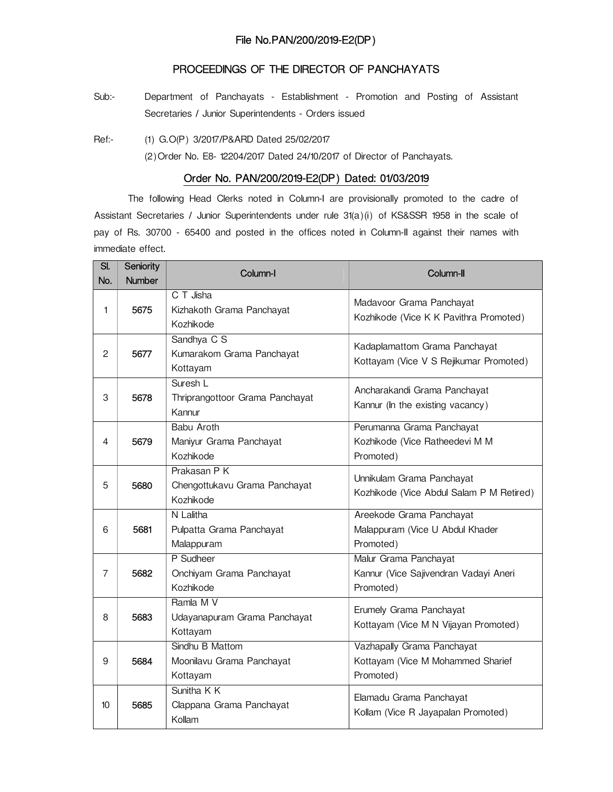## PROCEEDINGS OF THE DIRECTOR OF PANCHAYATS

Sub:- Department of Panchayats - Establishment - Promotion and Posting of Assistant Secretaries / Junior Superintendents - Orders issued

Ref:- (1) G.O(P) 3/2017/P&ARD Dated 25/02/2017

(2)Order No. E8- 12204/2017 Dated 24/10/2017 of Director of Panchayats.

## Order No. PAN/200/2019-E2(DP) Dated: 01/03/2019

The following Head Clerks noted in Column-I are provisionally promoted to the cadre of Assistant Secretaries / Junior Superintendents under rule 31(a)(i) of KS&SSR 1958 in the scale of pay of Rs. 30700 - 65400 and posted in the offices noted in Column-II against their names with immediate effect.

| SI. | Seniority     | Column-I                                                   | Column-II                                                                    |
|-----|---------------|------------------------------------------------------------|------------------------------------------------------------------------------|
| No. | <b>Number</b> |                                                            |                                                                              |
| 1   | 5675          | C T Jisha<br>Kizhakoth Grama Panchayat<br>Kozhikode        | Madavoor Grama Panchayat<br>Kozhikode (Vice K K Pavithra Promoted)           |
| 2   | 5677          | Sandhya C S<br>Kumarakom Grama Panchayat<br>Kottayam       | Kadaplamattom Grama Panchayat<br>Kottayam (Vice V S Rejikumar Promoted)      |
| 3   | 5678          | Suresh L<br>Thriprangottoor Grama Panchayat<br>Kannur      | Ancharakandi Grama Panchayat<br>Kannur (In the existing vacancy)             |
| 4   | 5679          | <b>Babu Aroth</b><br>Maniyur Grama Panchayat<br>Kozhikode  | Perumanna Grama Panchayat<br>Kozhikode (Vice Ratheedevi M M<br>Promoted)     |
| 5   | 5680          | Prakasan P K<br>Chengottukavu Grama Panchayat<br>Kozhikode | Unnikulam Grama Panchayat<br>Kozhikode (Vice Abdul Salam P M Retired)        |
| 6   | 5681          | N Lalitha<br>Pulpatta Grama Panchayat<br>Malappuram        | Areekode Grama Panchayat<br>Malappuram (Vice U Abdul Khader<br>Promoted)     |
| 7   | 5682          | P Sudheer<br>Onchiyam Grama Panchayat<br>Kozhikode         | Malur Grama Panchayat<br>Kannur (Vice Sajivendran Vadayi Aneri<br>Promoted)  |
| 8   | 5683          | Ramla M V<br>Udayanapuram Grama Panchayat<br>Kottayam      | Erumely Grama Panchayat<br>Kottayam (Vice M N Vijayan Promoted)              |
| 9   | 5684          | Sindhu B Mattom<br>Moonilavu Grama Panchayat<br>Kottayam   | Vazhapally Grama Panchayat<br>Kottayam (Vice M Mohammed Sharief<br>Promoted) |
| 10  | 5685          | Sunitha K K<br>Clappana Grama Panchayat<br>Kollam          | Elamadu Grama Panchayat<br>Kollam (Vice R Jayapalan Promoted)                |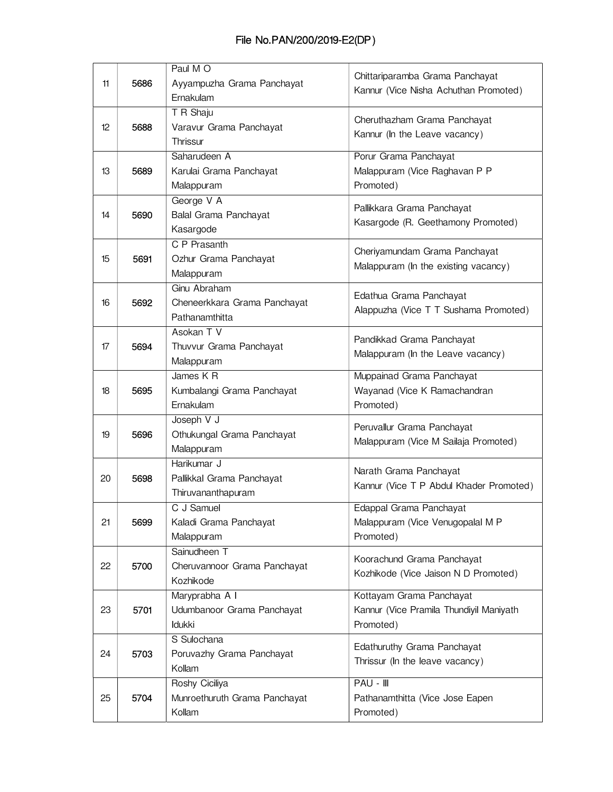## File No.PAN/200/2019-E2(DP)

|    |      | Paul M O                                 | Chittariparamba Grama Panchayat         |
|----|------|------------------------------------------|-----------------------------------------|
| 11 | 5686 | Ayyampuzha Grama Panchayat               | Kannur (Vice Nisha Achuthan Promoted)   |
|    |      | Ernakulam<br>T R Shaju                   |                                         |
| 12 | 5688 | Varavur Grama Panchayat                  | Cheruthazham Grama Panchayat            |
|    |      | Thrissur                                 | Kannur (In the Leave vacancy)           |
|    |      | Saharudeen A                             | Porur Grama Panchayat                   |
| 13 | 5689 | Karulai Grama Panchayat                  | Malappuram (Vice Raghavan P P           |
|    |      | Malappuram                               | Promoted)                               |
|    |      | George V A                               |                                         |
| 14 | 5690 | Balal Grama Panchayat                    | Pallikkara Grama Panchayat              |
|    |      | Kasargode                                | Kasargode (R. Geethamony Promoted)      |
|    |      | C P Prasanth                             |                                         |
| 15 | 5691 | Ozhur Grama Panchayat                    | Cheriyamundam Grama Panchayat           |
|    |      | Malappuram                               | Malappuram (In the existing vacancy)    |
|    |      | Ginu Abraham                             | Edathua Grama Panchayat                 |
| 16 | 5692 | Cheneerkkara Grama Panchayat             | Alappuzha (Vice T T Sushama Promoted)   |
|    |      | Pathanamthitta                           |                                         |
|    |      | Asokan T V                               | Pandikkad Grama Panchayat               |
| 17 | 5694 | Thuvvur Grama Panchayat                  | Malappuram (In the Leave vacancy)       |
|    |      | Malappuram                               |                                         |
|    |      | James K R                                | Muppainad Grama Panchayat               |
| 18 | 5695 | Kumbalangi Grama Panchayat               | Wayanad (Vice K Ramachandran            |
|    |      | Ernakulam                                | Promoted)                               |
| 19 | 5696 | Joseph V J                               | Peruvallur Grama Panchayat              |
|    |      | Othukungal Grama Panchayat<br>Malappuram | Malappuram (Vice M Sailaja Promoted)    |
|    |      | Harikumar J                              |                                         |
| 20 | 5698 | Pallikkal Grama Panchayat                | Narath Grama Panchayat                  |
|    |      | Thiruvananthapuram                       | Kannur (Vice T P Abdul Khader Promoted) |
|    |      | C J Samuel                               | Edappal Grama Panchayat                 |
| 21 | 5699 | Kaladi Grama Panchayat                   | Malappuram (Vice Venugopalal M P        |
|    |      | Malappuram                               | Promoted)                               |
|    |      | Sainudheen T                             |                                         |
| 22 | 5700 | Cheruvannoor Grama Panchayat             | Koorachund Grama Panchayat              |
|    |      | Kozhikode                                | Kozhikode (Vice Jaison N D Promoted)    |
|    |      | Maryprabha A I                           | Kottayam Grama Panchayat                |
| 23 | 5701 | Udumbanoor Grama Panchayat               | Kannur (Vice Pramila Thundiyil Maniyath |
|    |      | Idukki                                   | Promoted)                               |
|    |      | S Sulochana                              | Edathuruthy Grama Panchayat             |
| 24 | 5703 | Poruvazhy Grama Panchayat                | Thrissur (In the leave vacancy)         |
|    |      | Kollam                                   |                                         |
|    |      | Roshy Ciciliya                           | PAU - III                               |
| 25 | 5704 | Munroethuruth Grama Panchayat            | Pathanamthitta (Vice Jose Eapen         |
|    |      | Kollam                                   | Promoted)                               |